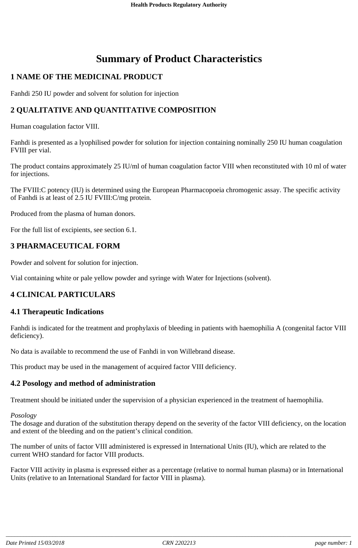# **Summary of Product Characteristics**

# **1 NAME OF THE MEDICINAL PRODUCT**

Fanhdi 250 IU powder and solvent for solution for injection

# **2 QUALITATIVE AND QUANTITATIVE COMPOSITION**

Human coagulation factor VIII.

Fanhdi is presented as a lyophilised powder for solution for injection containing nominally 250 IU human coagulation FVIII per vial.

The product contains approximately 25 IU/ml of human coagulation factor VIII when reconstituted with 10 ml of water for injections.

The FVIII:C potency (IU) is determined using the European Pharmacopoeia chromogenic assay. The specific activity of Fanhdi is at least of 2.5 IU FVIII:C/mg protein.

Produced from the plasma of human donors.

For the full list of excipients, see section 6.1.

# **3 PHARMACEUTICAL FORM**

Powder and solvent for solution for injection.

Vial containing white or pale yellow powder and syringe with Water for Injections (solvent).

# **4 CLINICAL PARTICULARS**

### **4.1 Therapeutic Indications**

Fanhdi is indicated for the treatment and prophylaxis of bleeding in patients with haemophilia A (congenital factor VIII deficiency).

No data is available to recommend the use of Fanhdi in von Willebrand disease.

This product may be used in the management of acquired factor VIII deficiency.

### **4.2 Posology and method of administration**

Treatment should be initiated under the supervision of a physician experienced in the treatment of haemophilia.

*Posology*

The dosage and duration of the substitution therapy depend on the severity of the factor VIII deficiency, on the location and extent of the bleeding and on the patient's clinical condition.

The number of units of factor VIII administered is expressed in International Units (IU), which are related to the current WHO standard for factor VIII products.

Factor VIII activity in plasma is expressed either as a percentage (relative to normal human plasma) or in International Units (relative to an International Standard for factor VIII in plasma).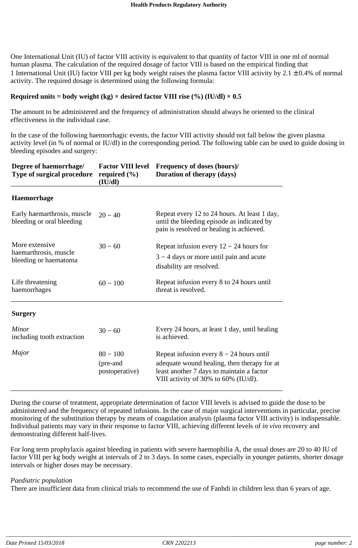One International Unit (IU) of factor VIII activity is equivalent to that quantity of factor VIII in one ml of normal human plasma. The calculation of the required dosage of factor VIII is based on the empirical finding that 1 International Unit (IU) factor VIII per kg body weight raises the plasma factor VIII activity by  $2.1 \pm 0.4\%$  of normal activity. The required dosage is determined using the following formula:

### **Required** units = **body** weight  $(kg) \times$  desired factor VIII rise  $(\%)(IU/dI) \times 0.5$

The amount to be administered and the frequency of administration should always be oriented to the clinical effectiveness in the individual case.

In the case of the following haemorrhagic events, the factor VIII activity should not fall below the given plasma activity level (in % of normal or IU/dl) in the corresponding period. The following table can be used to guide dosing in bleeding episodes and surgery:

| Degree of haemorrhage/<br>Type of surgical procedure             | <b>Factor VIII level</b><br>required $(\% )$<br>(IU/dl) | <b>Frequency of doses (hours)/</b><br>Duration of therapy (days)                                                                                                               |  |
|------------------------------------------------------------------|---------------------------------------------------------|--------------------------------------------------------------------------------------------------------------------------------------------------------------------------------|--|
| <b>Haemorrhage</b>                                               |                                                         |                                                                                                                                                                                |  |
| Early haemarthrosis, muscle<br>bleeding or oral bleeding         | $20 - 40$                                               | Repeat every 12 to 24 hours. At least 1 day,<br>until the bleeding episode as indicated by<br>pain is resolved or healing is achieved.                                         |  |
| More extensive<br>haemarthrosis, muscle<br>bleeding or haematoma | $30 - 60$                                               | Repeat infusion every $12 - 24$ hours for                                                                                                                                      |  |
|                                                                  |                                                         | $3 - 4$ days or more until pain and acute                                                                                                                                      |  |
|                                                                  |                                                         | disability are resolved.                                                                                                                                                       |  |
| Life threatening<br>haemorrhages                                 | $60 - 100$                                              | Repeat infusion every 8 to 24 hours until<br>threat is resolved.                                                                                                               |  |
| <b>Surgery</b>                                                   |                                                         |                                                                                                                                                                                |  |
| <b>Minor</b><br>including tooth extraction                       | $30 - 60$                                               | Every 24 hours, at least 1 day, until healing<br>is achieved.                                                                                                                  |  |
| Major                                                            | $80 - 100$<br>(pre-and<br>postoperative)                | Repeat infusion every $8 - 24$ hours until<br>adequate wound healing, then therapy for at<br>least another 7 days to maintain a factor<br>VIII activity of 30% to 60% (IU/dl). |  |

During the course of treatment, appropriate determination of factor VIII levels is advised to guide the dose to be administered and the frequency of repeated infusions. In the case of major surgical interventions in particular, precise monitoring of the substitution therapy by means of coagulation analysis (plasma factor VIII activity) is indispensable. Individual patients may vary in their response to factor VIII, achieving different levels of *in vivo* recovery and demonstrating different half-lives.

For long term prophylaxis against bleeding in patients with severe haemophilia A, the usual doses are 20 to 40 IU of factor VIII per kg body weight at intervals of 2 to 3 days. In some cases, especially in younger patients, shorter dosage intervals or higher doses may be necessary.

#### *Paediatric population*

There are insufficient data from clinical trials to recommend the use of Fanhdi in children less than 6 years of age.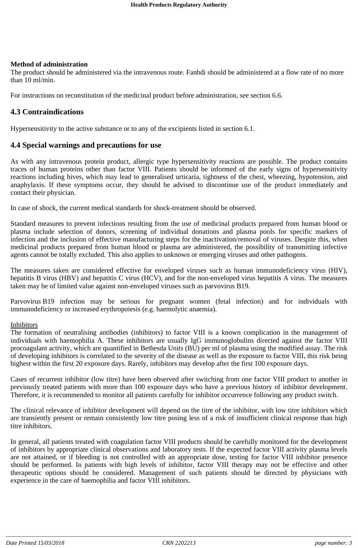#### **Method of administration**

The product should be administered via the intravenous route. Fanhdi should be administered at a flow rate of no more than 10 ml/min.

For instructions on reconstitution of the medicinal product before administration, see section 6.6.

### **4.3 Contraindications**

Hypersensitivity to the active substance or to any of the excipients listed in section 6.1.

### **4.4 Special warnings and precautions for use**

As with any intravenous protein product, allergic type hypersensitivity reactions are possible. The product contains traces of human proteins other than factor VIII. Patients should be informed of the early signs of hypersensitivity reactions including hives, which may lead to generalised urticaria, tightness of the chest, wheezing, hypotension, and anaphylaxis. If these symptoms occur, they should be advised to discontinue use of the product immediately and contact their physician.

In case of shock, the current medical standards for shock-treatment should be observed.

Standard measures to prevent infections resulting from the use of medicinal products prepared from human blood or plasma include selection of donors, screening of individual donations and plasma pools for specific markers of infection and the inclusion of effective manufacturing steps for the inactivation/removal of viruses. Despite this, when medicinal products prepared from human blood or plasma are administered, the possibility of transmitting infective agents cannot be totally excluded. This also applies to unknown or emerging viruses and other pathogens.

The measures taken are considered effective for enveloped viruses such as human immunodeficiency virus (HIV), hepatitis B virus (HBV) and hepatitis C virus (HCV), and for the non-enveloped virus hepatitis A virus. The measures taken may be of limited value against non-enveloped viruses such as parvovirus B19.

Parvovirus B19 infection may be serious for pregnant women (fetal infection) and for individuals with immunodeficiency or increased erythropoiesis (e.g. haemolytic anaemia).

#### Inhibitors

The formation of neutralising antibodies (inhibitors) to factor VIII is a known complication in the management of individuals with haemophilia A. These inhibitors are usually IgG immunoglobulins directed against the factor VIII procoagulant activity, which are quantified in Bethesda Units (BU) per ml of plasma using the modified assay. The risk of developing inhibitors is correlated to the severity of the disease as well as the exposure to factor VIII, this risk being highest within the first 20 exposure days. Rarely, inhibitors may develop after the first 100 exposure days.

Cases of recurrent inhibitor (low titre) have been observed after switching from one factor VIII product to another in previously treated patients with more than 100 exposure days who have a previous history of inhibitor development. Therefore, it is recommended to monitor all patients carefully for inhibitor occurrence following any product switch.

The clinical relevance of inhibitor development will depend on the titre of the inhibitor, with low titre inhibitors which are transiently present or remain consistently low titre posing less of a risk of insufficient clinical response than high titre inhibitors.

In general, all patients treated with coagulation factor VIII products should be carefully monitored for the development of inhibitors by appropriate clinical observations and laboratory tests. If the expected factor VIII activity plasma levels are not attained, or if bleeding is not controlled with an appropriate dose, testing for factor VIII inhibitor presence should be performed. In patients with high levels of inhibitor, factor VIII therapy may not be effective and other therapeutic options should be considered. Management of such patients should be directed by physicians with experience in the care of haemophilia and factor VIII inhibitors.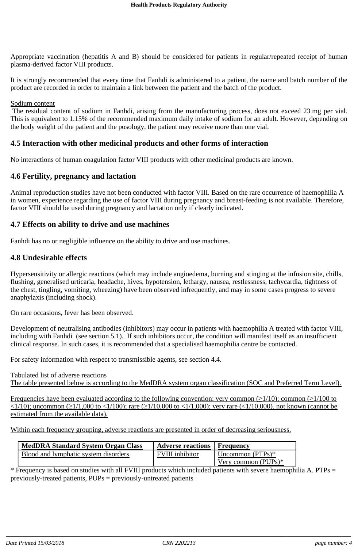Appropriate vaccination (hepatitis A and B) should be considered for patients in regular/repeated receipt of human plasma-derived factor VIII products.

It is strongly recommended that every time that Fanhdi is administered to a patient, the name and batch number of the product are recorded in order to maintain a link between the patient and the batch of the product.

#### Sodium content

The residual content of sodium in Fanhdi, arising from the manufacturing process, does not exceed 23 mg per vial. This is equivalent to 1.15% of the recommended maximum daily intake of sodium for an adult. However, depending on the body weight of the patient and the posology, the patient may receive more than one vial.

### **4.5 Interaction with other medicinal products and other forms of interaction**

No interactions of human coagulation factor VIII products with other medicinal products are known.

### **4.6 Fertility, pregnancy and lactation**

Animal reproduction studies have not been conducted with factor VIII. Based on the rare occurrence of haemophilia A in women, experience regarding the use of factor VIII during pregnancy and breast-feeding is not available. Therefore, factor VIII should be used during pregnancy and lactation only if clearly indicated.

### **4.7 Effects on ability to drive and use machines**

Fanhdi has no or negligible influence on the ability to drive and use machines.

### **4.8 Undesirable effects**

Hypersensitivity or allergic reactions (which may include angioedema, burning and stinging at the infusion site, chills, flushing, generalised urticaria, headache, hives, hypotension, lethargy, nausea, restlessness, tachycardia, tightness of the chest, tingling, vomiting, wheezing) have been observed infrequently, and may in some cases progress to severe anaphylaxis (including shock).

On rare occasions, fever has been observed.

Development of neutralising antibodies (inhibitors) may occur in patients with haemophilia A treated with factor VIII, including with Fanhdi (see section 5.1). If such inhibitors occur, the condition will manifest itself as an insufficient clinical response. In such cases, it is recommended that a specialised haemophilia centre be contacted.

For safety information with respect to transmissible agents, see section 4.4.

Tabulated list of adverse reactions The table presented below is according to the MedDRA system organ classification (SOC and Preferred Term Level).

Frequencies have been evaluated according to the following convention: very common ( $\geq$ 1/10); common ( $\geq$ 1/100 to  $\langle 1/10 \rangle$ ; uncommon ( $\geq 1/1,000$  to  $\langle 1/100 \rangle$ ; rare ( $\geq 1/10,000$ ); very rare ( $\langle 1/10,000 \rangle$ , not known (cannot be estimated from the available data).

Within each frequency grouping, adverse reactions are presented in order of decreasing seriousness.

| <b>MedDRA Standard System Organ Class</b> | <b>Adverse reactions</b>   Frequency |                        |
|-------------------------------------------|--------------------------------------|------------------------|
| Blood and lymphatic system disorders      | <b>FVIII</b> inhibitor               | Uncommon $(PTPs)*$     |
|                                           |                                      | Very common $(PUPs)^*$ |

\* Frequency is based on studies with all FVIII products which included patients with severe haemophilia A. PTPs = previously-treated patients, PUPs = previously-untreated patients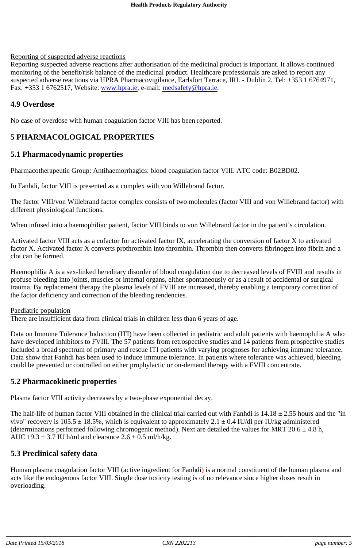#### Reporting of suspected adverse reactions

Reporting suspected adverse reactions after authorisation of the medicinal product is important. It allows continued monitoring of the benefit/risk balance of the medicinal product. Healthcare professionals are asked to report any suspected adverse reactions via HPRA Pharmacovigilance, Earlsfort Terrace, IRL - Dublin 2, Tel: +353 1 6764971, Fax: +353 1 6762517, Website: www.hpra.ie; e-mail: medsafety@hpra.ie.

### **4.9 Overdose**

No case of overdose with human coagulation factor VIII has been reported.

# **5 PHARMACOLOGICAL PROPERTIES**

### **5.1 Pharmacodynamic properties**

Pharmacotherapeutic Group: Antihaemorrhagics: blood coagulation factor VIII. ATC code: B02BD02.

In Fanhdi, factor VIII is presented as a complex with von Willebrand factor.

The factor VIII/von Willebrand factor complex consists of two molecules (factor VIII and von Willebrand factor) with different physiological functions.

When infused into a haemophiliac patient, factor VIII binds to von Willebrand factor in the patient's circulation.

Activated factor VIII acts as a cofactor for activated factor IX, accelerating the conversion of factor X to activated factor X. Activated factor X converts prothrombin into thrombin. Thrombin then converts fibrinogen into fibrin and a clot can be formed.

Haemophilia A is a sex-linked hereditary disorder of blood coagulation due to decreased levels of FVIII and results in profuse bleeding into joints, muscles or internal organs, either spontaneously or as a result of accidental or surgical trauma. By replacement therapy the plasma levels of FVIII are increased, thereby enabling a temporary correction of the factor deficiency and correction of the bleeding tendencies.

#### Paediatric population

There are insufficient data from clinical trials in children less than 6 years of age.

Data on Immune Tolerance Induction (ITI) have been collected in pediatric and adult patients with haemophilia A who have developed inhibitors to FVIII. The 57 patients from retrospective studies and 14 patients from prospective studies included a broad spectrum of primary and rescue ITI patients with varying prognoses for achieving immune tolerance. Data show that Fanhdi has been used to induce immune tolerance. In patients where tolerance was achieved, bleeding could be prevented or controlled on either prophylactic or on-demand therapy with a FVIII concentrate.

### **5.2 Pharmacokinetic properties**

Plasma factor VIII activity decreases by a two-phase exponential decay.

The half-life of human factor VIII obtained in the clinical trial carried out with Fanhdi is  $14.18 \pm 2.55$  hours and the "in vivo" recovery is  $105.5 \pm 18.5$ %, which is equivalent to approximately 2.1  $\pm$  0.4 IU/dl per IU/kg administered (determinations performed following chromogenic method). Next are detailed the values for MRT 20.6  $\pm$  4.8 h, AUC  $19.3 \pm 3.7$  IU h/ml and clearance  $2.6 \pm 0.5$  ml/h/kg.

### **5.3 Preclinical safety data**

Human plasma coagulation factor VIII (active ingredient for Fanhdi) is a normal constituent of the human plasma and acts like the endogenous factor VIII. Single dose toxicity testing is of no relevance since higher doses result in overloading.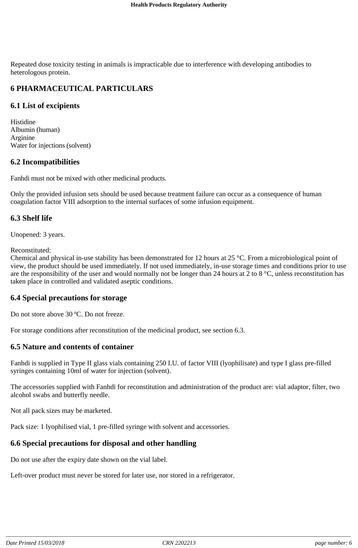Repeated dose toxicity testing in animals is impracticable due to interference with developing antibodies to heterologous protein.

### **6 PHARMACEUTICAL PARTICULARS**

### **6.1 List of excipients**

Histidine Albumin (human) Arginine Water for injections (solvent)

### **6.2 Incompatibilities**

Fanhdi must not be mixed with other medicinal products.

Only the provided infusion sets should be used because treatment failure can occur as a consequence of human coagulation factor VIII adsorption to the internal surfaces of some infusion equipment.

### **6.3 Shelf life**

Unopened: 3 years.

Reconstituted:

Chemical and physical in-use stability has been demonstrated for 12 hours at 25 °C. From a microbiological point of view, the product should be used immediately. If not used immediately, in-use storage times and conditions prior to use are the responsibility of the user and would normally not be longer than 24 hours at  $2$  to  $8^{\circ}$ C, unless reconstitution has taken place in controlled and validated aseptic conditions.

#### **6.4 Special precautions for storage**

Do not store above 30 ºC. Do not freeze.

For storage conditions after reconstitution of the medicinal product, see section 6.3.

### **6.5 Nature and contents of container**

Fanhdi is supplied in Type II glass vials containing 250 I.U. of factor VIII (lyophilisate) and type I glass pre-filled syringes containing 10ml of water for injection (solvent).

The accessories supplied with Fanhdi for reconstitution and administration of the product are: vial adaptor, filter, two alcohol swabs and butterfly needle.

Not all pack sizes may be marketed.

Pack size: 1 lyophilised vial, 1 pre-filled syringe with solvent and accessories.

### **6.6 Special precautions for disposal and other handling**

Do not use after the expiry date shown on the vial label.

Left-over product must never be stored for later use, nor stored in a refrigerator.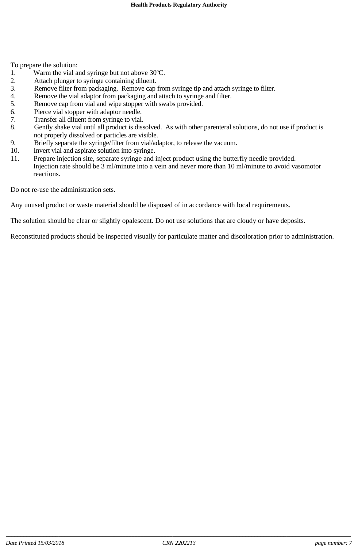To prepare the solution:

- 1. Warm the vial and syringe but not above 30ºC.
- 2. Attach plunger to syringe containing diluent.
- 3. Remove filter from packaging. Remove cap from syringe tip and attach syringe to filter.
- 4. Remove the vial adaptor from packaging and attach to syringe and filter.
- 5. Remove cap from vial and wipe stopper with swabs provided.
- 6. Pierce vial stopper with adaptor needle.
- 7. Transfer all diluent from syringe to vial.
- 8. Gently shake vial until all product is dissolved. As with other parenteral solutions, do not use if product is not properly dissolved or particles are visible.
- 9. Briefly separate the syringe/filter from vial/adaptor, to release the vacuum.<br>10. Invert vial and aspirate solution into syringe.
- 10. Invert vial and aspirate solution into syringe.<br>11. Prepare injection site, separate syringe and i
- Prepare injection site, separate syringe and inject product using the butterfly needle provided. Injection rate should be 3 ml/minute into a vein and never more than 10 ml/minute to avoid vasomotor reactions.

Do not re-use the administration sets.

Any unused product or waste material should be disposed of in accordance with local requirements.

The solution should be clear or slightly opalescent. Do not use solutions that are cloudy or have deposits.

Reconstituted products should be inspected visually for particulate matter and discoloration prior to administration.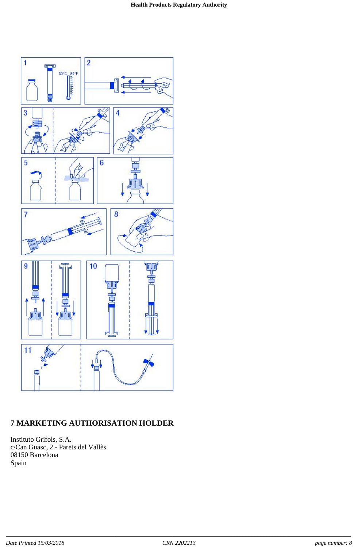

# **7 MARKETING AUTHORISATION HOLDER**

Instituto Grifols, S.A. c/Can Guasc, 2 - Parets del Vallès 08150 Barcelona Spain